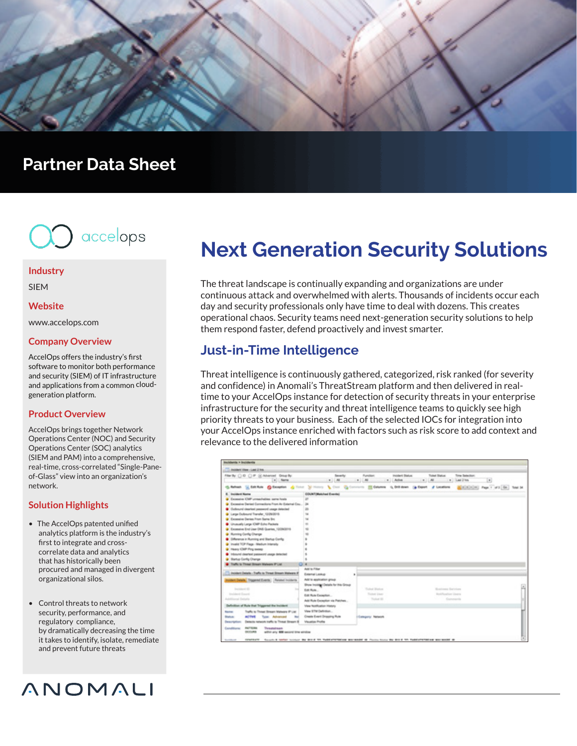

# **Partner Data Sheet**



#### **Industry**

SIEM

#### **Website**

www.accelops.com

#### **Company Overview**

AccelOps offers the industry's first software to monitor both performance and security (SIEM) of IT infrastructure and applications from a common cloudgeneration platform.

#### **Product Overview**

AccelOps brings together Network Operations Center (NOC) and Security Operations Center (SOC) analytics (SIEM and PAM) into a comprehensive, real-time, cross-correlated "Single-Paneof-Glass" view into an organization's network.

#### **Solution Highlights**

- The AccelOps patented unified analytics platform is the industry's first to integrate and cross correlate data and analytics that has historically been procured and managed in divergent organizational silos.
- Control threats to network security, performance, and regulatory compliance, by dramatically decreasing the time it takes to identify, isolate, remediate and prevent future threats

# ANOMALI

# **Next Generation Security Solutions**

The threat landscape is continually expanding and organizations are under continuous attack and overwhelmed with alerts. Thousands of incidents occur each day and security professionals only have time to deal with dozens. This creates operational chaos. Security teams need next-generation security solutions to help them respond faster, defend proactively and invest smarter.

### **Just-in-Time Intelligence**

Threat intelligence is continuously gathered, categorized, risk ranked (for severity and confidence) in Anomali's ThreatStream platform and then delivered in realtime to your AccelOps instance for detection of security threats in your enterprise infrastructure for the security and threat intelligence teams to quickly see high priority threats to your business. Each of the selected IOCs for integration into your AccelOps instance enriched with factors such as risk score to add context and relevance to the delivered information

| <b>Brackdoords &gt; Brackdoords</b>                                                                                                                          |                                       |                         |                                     |                                 |                                  |              |
|--------------------------------------------------------------------------------------------------------------------------------------------------------------|---------------------------------------|-------------------------|-------------------------------------|---------------------------------|----------------------------------|--------------|
| <b>Considers View - Last 2 Ive.</b>                                                                                                                          |                                       |                         |                                     |                                 |                                  |              |
| Ren'ty () 0 () P (i) Marcel Drively<br>v Neme                                                                                                                | <b>Severity</b><br>$-1.01$ $-1.01$    | Function:<br>$-11$ Athe | <b>Incident Disture</b><br>$-11.44$ | Toket Blatus<br>THE LAST TIME   | Tony Salesbury<br>$\Box$         |              |
| C. Robert, C. Edit R.M. #3 Exception # Third N. Thomas & Court #2 Common #2 Editors & Old down (a Export # Locations                                         |                                       |                         |                                     |                                 | <b>Minimized</b> Page 7 and Go.) |              |
| <b>6. Incident Norte</b>                                                                                                                                     | <b>COUNT Matchest Evental</b>         |                         |                                     |                                 |                                  |              |
| C Execute CMF unsatisfate same hock<br>37                                                                                                                    |                                       |                         |                                     |                                 |                                  |              |
| C. Excessive Derival Connections From An External Cou.<br>34                                                                                                 |                                       |                         |                                     |                                 |                                  |              |
| Cultural dealer assessed usage detected<br>и                                                                                                                 |                                       |                         |                                     |                                 |                                  |              |
| C Large Outbound Transfer, 10/20/2015                                                                                                                        |                                       |                         |                                     |                                 |                                  |              |
| <b>Q</b> Excessive Danies From Same Snt                                                                                                                      |                                       |                         |                                     |                                 |                                  |              |
| C Unusually Large IOMP Echo Packets                                                                                                                          |                                       |                         |                                     |                                 |                                  |              |
| C Excessive End Lisar DNS Guartee, 12/20/2019                                                                                                                |                                       |                         |                                     |                                 |                                  |              |
| C Hunning Config Change                                                                                                                                      |                                       |                         |                                     |                                 |                                  |              |
| Collegea in Running and Blacka Config.                                                                                                                       |                                       |                         |                                     |                                 |                                  |              |
| C Invald TCP Flags - Medium Interesty                                                                                                                        |                                       |                         |                                     |                                 |                                  |              |
| C Heavy Chiff Fing sweep                                                                                                                                     |                                       |                         |                                     |                                 |                                  |              |
| <b>Calculated classroom increased and the control</b>                                                                                                        |                                       |                         |                                     |                                 |                                  |              |
| C Barta Gorks Change                                                                                                                                         |                                       |                         |                                     |                                 |                                  |              |
| Traffic to Threat Breast Walkers IP Ltd.                                                                                                                     |                                       |                         |                                     |                                 |                                  |              |
|                                                                                                                                                              | Active Price                          |                         |                                     |                                 |                                  |              |
| T. Installer Details - Traffic is Threat Stream Malware of                                                                                                   | External Lookup                       |                         |                                     |                                 |                                  |              |
| <b>Insiders Details</b> Trippenet Everta   Periode Incidents                                                                                                 | Antra application group               |                         |                                     |                                 |                                  |              |
|                                                                                                                                                              | Show Inside at Details for this Group |                         |                                     |                                 |                                  | a,           |
| <b>Services</b> Inc.                                                                                                                                         | Edit Role                             | Teled Balon             |                                     | <b>Rochese Rendered</b>         |                                  |              |
| Installation Council                                                                                                                                         | Gall Mute Canadian                    | <b>Taker User</b>       |                                     | <b>Monthly advance Glassica</b> |                                  |              |
| Additional Details                                                                                                                                           | Anti-Rule Escapitor via Patches       | Today 10                |                                     | Commercial                      |                                  |              |
| Definition of Rule that Triggered the Incident                                                                                                               | View Notification History             |                         |                                     |                                 |                                  |              |
| Traffic to Threat Breaks Malware IP List<br><b>Salta</b>                                                                                                     | View STM Definition                   |                         |                                     |                                 |                                  |              |
| <b>ACTIVE</b><br><b>Turn: Advanced</b><br><b>Blatter</b>                                                                                                     | Create Event Drapping Rule            | <b>Edmonton Network</b> |                                     |                                 |                                  |              |
| Detects retwork traffic to Threat Breast III<br>Dear Sylves                                                                                                  | <b>Visualize Profile</b>              |                         |                                     |                                 |                                  |              |
| <b>PASTRONA</b><br>Constitutor<br>Threated leads                                                                                                             |                                       |                         |                                     |                                 |                                  |              |
| <b>OCCURS</b><br>within any 400 second time strukise                                                                                                         |                                       |                         |                                     |                                 |                                  |              |
|                                                                                                                                                              |                                       |                         |                                     |                                 |                                  | $\mathbb{R}$ |
| APAPRATE Success A nortest success that this third the Hamburgham may maded at Plasma house the third the Platestownholder seasonable of<br><b>SUSPICION</b> |                                       |                         |                                     |                                 |                                  |              |